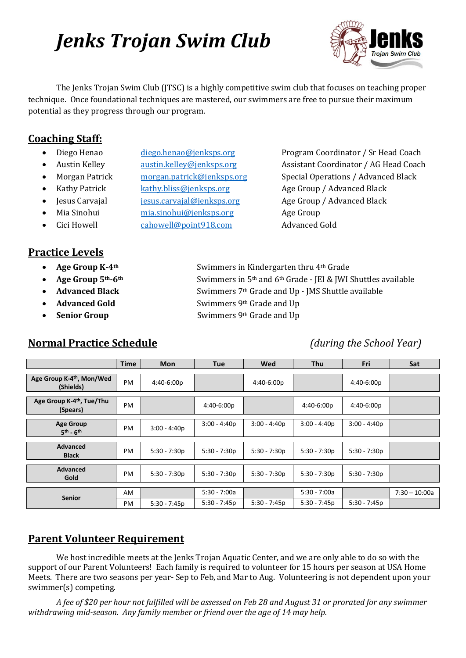# *Jenks Trojan Swim Club*



The Jenks Trojan Swim Club (JTSC) is a highly competitive swim club that focuses on teaching proper technique. Once foundational techniques are mastered, our swimmers are free to pursue their maximum potential as they progress through our program.

## **Coaching Staff:**

- 
- 
- 
- 
- 
- 
- 
- 
- 
- **Kathy Patrick** [kathy.bliss@jenksps.org](mailto:kathy.bliss@jenksps.org) Age Group / Advanced Black
	-
- Mia Sinohui [mia.sinohui@jenksps.org](mailto:mia.sinohui@jenksps.org) Age Group
- Cici Howell **Cahowell@point918.com** Advanced Gold

**Practice Levels**

- 
- 
- 
- 
- 

## **Normal Practice Schedule** *(during the School Year)*

• Diego Henao [diego.henao@jenksps.org](mailto:diego.henao@jenksps.org) Program Coordinator / Sr Head Coach • Austin Kelley [austin.kelley@jenksps.org](mailto:austin.kelley@jenksps.org) Assistant Coordinator / AG Head Coach • Morgan Patrick [morgan.patrick@jenksps.org](mailto:morgan.patrick@jenksps.org) Special Operations / Advanced Black • Jesus Carvajal *[jesus.carvajal@jenksps.org](mailto:jesus.carvajal@jenksps.org)* Age Group / Advanced Black

- **Age Group K-4<sup>th</sup>** Swimmers in Kindergarten thru 4<sup>th</sup> Grade • **Age Group 5th-6th** Swimmers in 5th and 6th Grade - JEI & JWI Shuttles available • **Advanced Black** Swimmers 7th Grade and Up - JMS Shuttle available **Advanced Gold** Swimmers 9<sup>th</sup> Grade and Up
	- **Senior Group** Swimmers 9th Grade and Up

|                                                    | <b>Time</b> | <b>Mon</b>     | <b>Tue</b>     | Wed            | <b>Thu</b>     | Fri            | Sat             |
|----------------------------------------------------|-------------|----------------|----------------|----------------|----------------|----------------|-----------------|
| Age Group K-4 <sup>th</sup> , Mon/Wed<br>(Shields) | PM          | 4:40-6:00p     |                | 4:40-6:00p     |                | $4:40-6:00p$   |                 |
| Age Group K-4 <sup>th</sup> , Tue/Thu<br>(Spears)  | PM          |                | 4:40-6:00p     |                | 4:40-6:00p     | 4:40-6:00p     |                 |
| <b>Age Group</b><br>$5th - 6th$                    | PM          | $3:00 - 4:40p$ | $3:00 - 4:40p$ | $3:00 - 4:40p$ | $3:00 - 4:40p$ | $3:00 - 4:40p$ |                 |
| <b>Advanced</b><br><b>Black</b>                    | PM          | $5:30 - 7:30p$ | $5:30 - 7:30p$ | $5:30 - 7:30p$ | $5:30 - 7:30p$ | $5:30 - 7:30p$ |                 |
| <b>Advanced</b><br>Gold                            | PM          | $5:30 - 7:30p$ | $5:30 - 7:30p$ | $5:30 - 7:30p$ | $5:30 - 7:30p$ | $5:30 - 7:30p$ |                 |
|                                                    | AM.         |                | $5:30 - 7:00a$ |                | $5:30 - 7:00a$ |                | $7:30 - 10:00a$ |
| <b>Senior</b>                                      | PM          | $5:30 - 7:45p$ | $5:30 - 7:45p$ | $5:30 - 7:45p$ | $5:30 - 7:45p$ | $5:30 - 7:45p$ |                 |

## **Parent Volunteer Requirement**

We host incredible meets at the Jenks Trojan Aquatic Center, and we are only able to do so with the support of our Parent Volunteers! Each family is required to volunteer for 15 hours per season at USA Home Meets. There are two seasons per year- Sep to Feb, and Mar to Aug. Volunteering is not dependent upon your swimmer(s) competing.

*A fee of \$20 per hour not fulfilled will be assessed on Feb 28 and August 31 or prorated for any swimmer withdrawing mid-season. Any family member or friend over the age of 14 may help.*